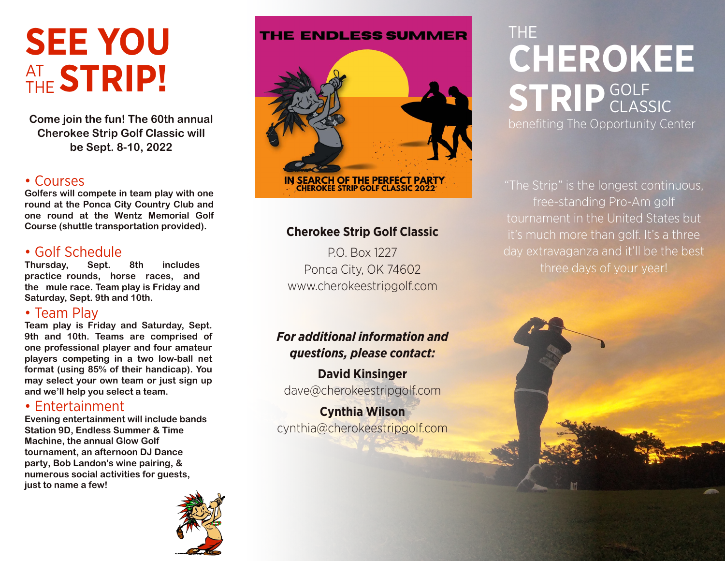# **SEE YOU** AT THE **STRIP!**

**Come join the fun! The 60th annual Cherokee Strip Golf Classic will be Sept. 8-10, 2022**

# • Courses

**Golfers will compete in team play with one round at the Ponca City Country Club and one round at the Wentz Memorial Golf Course (shuttle transportation provided).**

# • Golf Schedule

**Thursday, Sept. 8th includes practice rounds, horse races, and the mule race. Team play is Friday and Saturday, Sept. 9th and 10th.**

# • Team Play

**Team play is Friday and Saturday, Sept. 9th and 10th. Teams are comprised of one professional player and four amateur players competing in a two low-ball net format (using 85% of their handicap). You may select your own team or just sign up and we'll help you select a team.** 

# • Entertainment

**Evening entertainment will include bands Station 9D, Endless Summer & Time Machine, the annual Glow Golf tournament, an afternoon DJ Dance party, Bob Landon's wine pairing, & numerous social activities for guests, just to name a few!**



#### **THE ENDLESS SUMMER**



## **Cherokee Strip Golf Classic**

P.O. Box 1227 Ponca City, OK 74602 www.cherokeestripgolf.com

# *For additional information and questions, please contact:*

**David Kinsinger** dave@cherokeestripgolf.com

**Cynthia Wilson** cynthia@cherokeestripgolf.com

# THE **CHEROKEE** STRIP<sup>GOLF</sup> CLASSIC benefiting The Opportunity Center

"The Strip" is the longest continuous, free-standing Pro-Am golf tournament in the United States but it's much more than golf. It's a three day extravaganza and it'll be the best three days of your year!